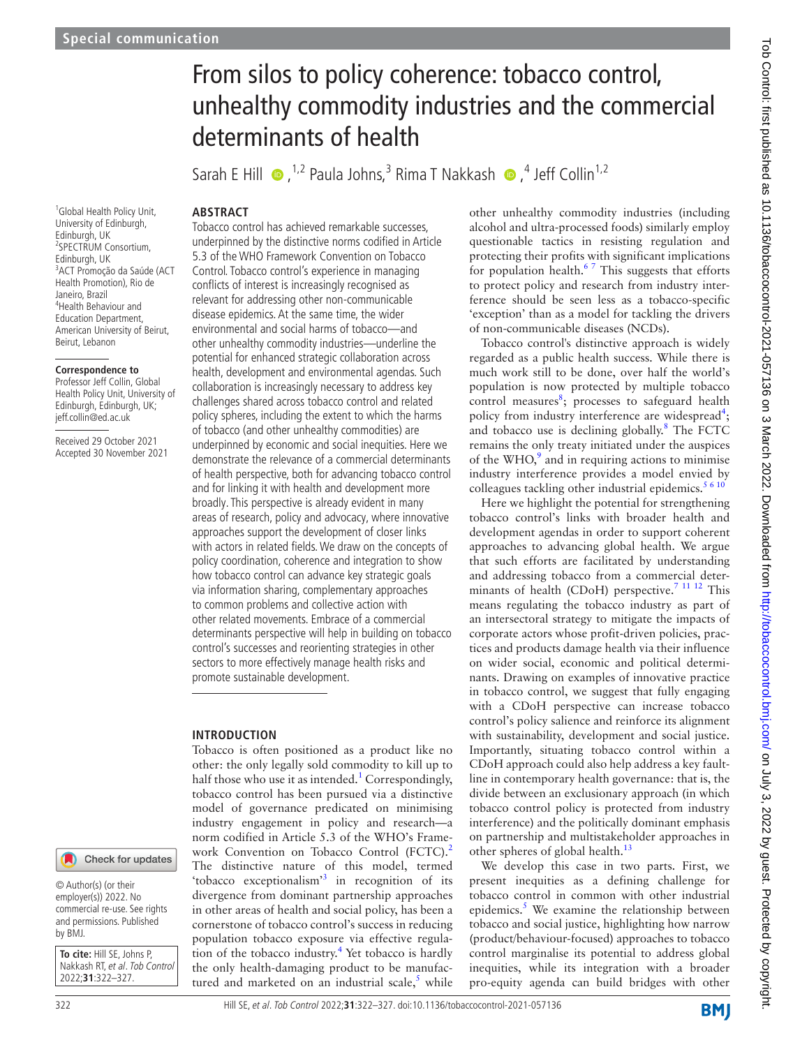#### <sup>1</sup>Global Health Policy Unit, University of Edinburgh, Edinburgh, UK 2 SPECTRUM Consortium, Edinburgh, UK 3 ACT Promoção da Saúde (ACT Health Promotion), Rio de Janeiro, Brazil 4 Health Behaviour and Education Department, American University of Beirut, Beirut, Lebanon

#### **Correspondence to**

Professor Jeff Collin, Global Health Policy Unit, University of Edinburgh, Edinburgh, UK; jeff.collin@ed.ac.uk

Received 29 October 2021 Accepted 30 November 2021

# Check for updates

© Author(s) (or their employer(s)) 2022. No commercial re-use. See rights and permissions. Published by BMJ.

**To cite:** Hill SE, Johns P, Nakkash RT, et al. Tob Control 2022;**31**:322–327.

# From silos to policy coherence: tobacco control, unhealthy commodity industries and the commercial determinants of health

SarahE Hill  $\bullet$ , <sup>1,2</sup> Paula Johns,<sup>3</sup> Rima T Nakkash  $\bullet$ ,<sup>4</sup> Jeff Collin<sup>1,2</sup>

# **ABSTRACT**

Tobacco control has achieved remarkable successes, underpinned by the distinctive norms codified in Article 5.3 of the WHO Framework Convention on Tobacco Control. Tobacco control's experience in managing conflicts of interest is increasingly recognised as relevant for addressing other non-communicable disease epidemics. At the same time, the wider environmental and social harms of tobacco—and other unhealthy commodity industries—underline the potential for enhanced strategic collaboration across health, development and environmental agendas. Such collaboration is increasingly necessary to address key challenges shared across tobacco control and related policy spheres, including the extent to which the harms of tobacco (and other unhealthy commodities) are underpinned by economic and social inequities. Here we demonstrate the relevance of a commercial determinants of health perspective, both for advancing tobacco control and for linking it with health and development more broadly. This perspective is already evident in many areas of research, policy and advocacy, where innovative approaches support the development of closer links with actors in related fields. We draw on the concepts of policy coordination, coherence and integration to show how tobacco control can advance key strategic goals via information sharing, complementary approaches to common problems and collective action with other related movements. Embrace of a commercial determinants perspective will help in building on tobacco control's successes and reorienting strategies in other sectors to more effectively manage health risks and promote sustainable development.

#### **INTRODUCTION**

Tobacco is often positioned as a product like no other: the only legally sold commodity to kill up to half those who use it as intended.<sup>[1](#page-4-0)</sup> Correspondingly, tobacco control has been pursued via a distinctive model of governance predicated on minimising industry engagement in policy and research—a norm codified in Article 5.3 of the WHO's Frame-work Convention on Tobacco Control (FCTC).<sup>[2](#page-4-1)</sup> The distinctive nature of this model, termed 'tobacco exceptionalism'<sup>[3](#page-4-2)</sup> in recognition of its divergence from dominant partnership approaches in other areas of health and social policy, has been a cornerstone of tobacco control's success in reducing population tobacco exposure via effective regula-tion of the tobacco industry.<sup>[4](#page-4-3)</sup> Yet tobacco is hardly the only health-damaging product to be manufactured and marketed on an industrial scale, $5$  while other unhealthy commodity industries (including alcohol and ultra-processed foods) similarly employ questionable tactics in resisting regulation and protecting their profits with significant implications for population health. $67$  This suggests that efforts to protect policy and research from industry interference should be seen less as a tobacco-specific 'exception' than as a model for tackling the drivers of non-communicable diseases (NCDs).

Tobacco control's distinctive approach is widely regarded as a public health success. While there is much work still to be done, over half the world's population is now protected by multiple tobacco control measures $\frac{8}{3}$  $\frac{8}{3}$  $\frac{8}{3}$ ; processes to safeguard health policy from industry interference are widespread<sup>[4](#page-4-3)</sup>; and tobacco use is declining globally.<sup>[8](#page-4-6)</sup> The FCTC remains the only treaty initiated under the auspices of the  $WHO$ ,<sup>9</sup> and in requiring actions to minimise industry interference provides a model envied by colleagues tackling other industrial epidemics. $5610$ 

Here we highlight the potential for strengthening tobacco control's links with broader health and development agendas in order to support coherent approaches to advancing global health. We argue that such efforts are facilitated by understanding and addressing tobacco from a commercial determinants of health (CDoH) perspective.<sup>7 11 12</sup> This means regulating the tobacco industry as part of an intersectoral strategy to mitigate the impacts of corporate actors whose profit-driven policies, practices and products damage health via their influence on wider social, economic and political determinants. Drawing on examples of innovative practice in tobacco control, we suggest that fully engaging with a CDoH perspective can increase tobacco control's policy salience and reinforce its alignment with sustainability, development and social justice. Importantly, situating tobacco control within a CDoH approach could also help address a key faultline in contemporary health governance: that is, the divide between an exclusionary approach (in which tobacco control policy is protected from industry interference) and the politically dominant emphasis on partnership and multistakeholder approaches in other spheres of global health.<sup>[13](#page-4-9)</sup>

We develop this case in two parts. First, we present inequities as a defining challenge for tobacco control in common with other industrial epidemics.<sup>5</sup> We examine the relationship between tobacco and social justice, highlighting how narrow (product/behaviour-focused) approaches to tobacco control marginalise its potential to address global inequities, while its integration with a broader pro-equity agenda can build bridges with other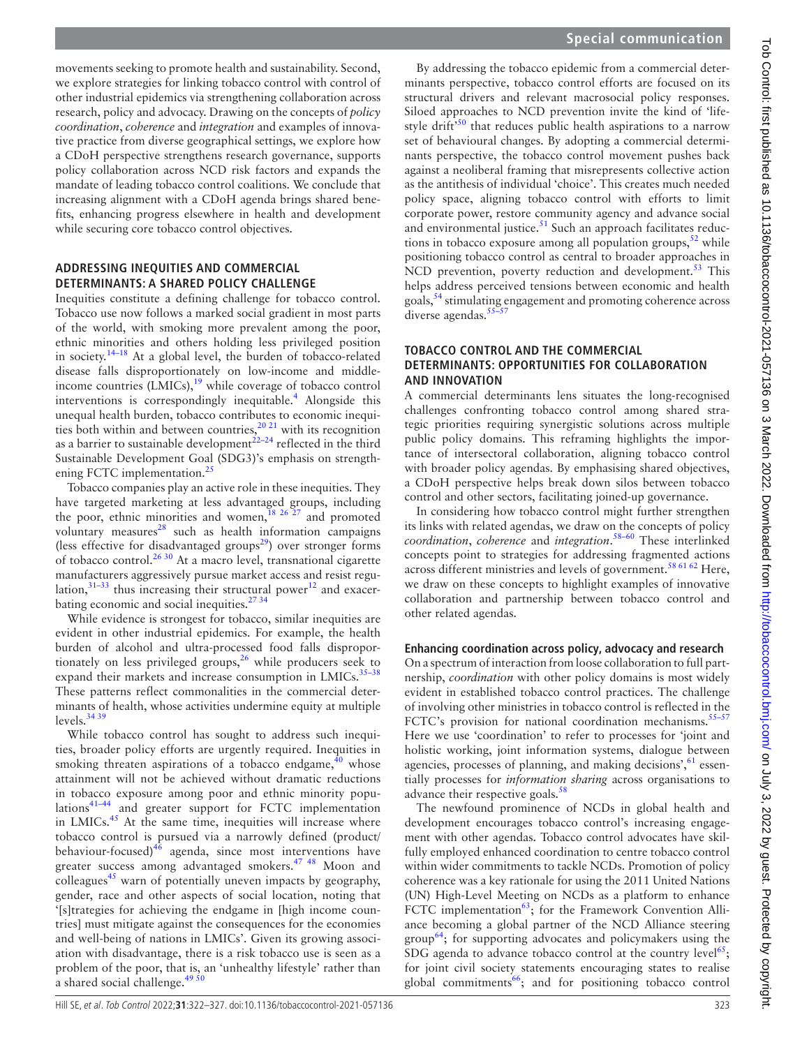movements seeking to promote health and sustainability. Second, we explore strategies for linking tobacco control with control of other industrial epidemics via strengthening collaboration across research, policy and advocacy. Drawing on the concepts of *policy coordination*, *coherence* and *integration* and examples of innovative practice from diverse geographical settings, we explore how a CDoH perspective strengthens research governance, supports policy collaboration across NCD risk factors and expands the mandate of leading tobacco control coalitions. We conclude that increasing alignment with a CDoH agenda brings shared benefits, enhancing progress elsewhere in health and development while securing core tobacco control objectives.

#### **ADDRESSING INEQUITIES AND COMMERCIAL DETERMINANTS: A SHARED POLICY CHALLENGE**

Inequities constitute a defining challenge for tobacco control. Tobacco use now follows a marked social gradient in most parts of the world, with smoking more prevalent among the poor, ethnic minorities and others holding less privileged position in society.[14–18](#page-4-10) At a global level, the burden of tobacco-related disease falls disproportionately on low-income and middleincome countries  $(LMICs)$ ,<sup>[19](#page-4-11)</sup> while coverage of tobacco control interventions is correspondingly inequitable.<sup>4</sup> Alongside this unequal health burden, tobacco contributes to economic inequities both within and between countries,  $20 \times 21$  with its recognition as a barrier to sustainable development $22-24$  reflected in the third Sustainable Development Goal (SDG3)'s emphasis on strength-ening FCTC implementation.<sup>[25](#page-4-14)</sup>

Tobacco companies play an active role in these inequities. They have targeted marketing at less advantaged groups, including the poor, ethnic minorities and women,<sup>[18 26 27](#page-4-15)</sup> and promoted voluntary measures $^{28}$  $^{28}$  $^{28}$  such as health information campaigns (less effective for disadvantaged groups<sup>29</sup>) over stronger forms of tobacco control.[26 30](#page-4-18) At a macro level, transnational cigarette manufacturers aggressively pursue market access and resist regulation, $31-33$  thus increasing their structural power<sup>[12](#page-4-20)</sup> and exacerbating economic and social inequities. $2734$ 

While evidence is strongest for tobacco, similar inequities are evident in other industrial epidemics. For example, the health burden of alcohol and ultra-processed food falls disproportionately on less privileged groups,<sup>26</sup> while producers seek to expand their markets and increase consumption in LMICs.<sup>35-38</sup> These patterns reflect commonalities in the commercial determinants of health, whose activities undermine equity at multiple levels. $3439$ 

While tobacco control has sought to address such inequities, broader policy efforts are urgently required. Inequities in smoking threaten aspirations of a tobacco endgame, $40$  whose attainment will not be achieved without dramatic reductions in tobacco exposure among poor and ethnic minority populations<sup>41-44</sup> and greater support for FCTC implementation in LMICs.<sup>[45](#page-4-26)</sup> At the same time, inequities will increase where tobacco control is pursued via a narrowly defined (product/ behaviour-focused) $46$  agenda, since most interventions have greater success among advantaged smokers.<sup>47</sup> <sup>48</sup> Moon and colleagues<sup>[45](#page-4-26)</sup> warn of potentially uneven impacts by geography, gender, race and other aspects of social location, noting that '[s]trategies for achieving the endgame in [high income countries] must mitigate against the consequences for the economies and well-being of nations in LMICs'. Given its growing association with disadvantage, there is a risk tobacco use is seen as a problem of the poor, that is, an 'unhealthy lifestyle' rather than a shared social challenge.<sup>[49 50](#page-4-29)</sup>

By addressing the tobacco epidemic from a commercial determinants perspective, tobacco control efforts are focused on its structural drivers and relevant macrosocial policy responses. Siloed approaches to NCD prevention invite the kind of 'life-style drift<sup>[50](#page-4-30)</sup> that reduces public health aspirations to a narrow set of behavioural changes. By adopting a commercial determinants perspective, the tobacco control movement pushes back against a neoliberal framing that misrepresents collective action as the antithesis of individual 'choice'. This creates much needed policy space, aligning tobacco control with efforts to limit corporate power, restore community agency and advance social and environmental justice. $51$  Such an approach facilitates reductions in tobacco exposure among all population groups,  $52$  while positioning tobacco control as central to broader approaches in NCD prevention, poverty reduction and development.<sup>[53](#page-5-1)</sup> This helps address perceived tensions between economic and health goals,<sup>[54](#page-5-2)</sup> stimulating engagement and promoting coherence across diverse agendas. $5$ 

#### **TOBACCO CONTROL AND THE COMMERCIAL DETERMINANTS: OPPORTUNITIES FOR COLLABORATION AND INNOVATION**

A commercial determinants lens situates the long-recognised challenges confronting tobacco control among shared strategic priorities requiring synergistic solutions across multiple public policy domains. This reframing highlights the importance of intersectoral collaboration, aligning tobacco control with broader policy agendas. By emphasising shared objectives, a CDoH perspective helps break down silos between tobacco control and other sectors, facilitating joined-up governance.

In considering how tobacco control might further strengthen its links with related agendas, we draw on the concepts of policy *coordination*, *coherence* and *integration*. [58–60](#page-5-4) These interlinked concepts point to strategies for addressing fragmented actions across different ministries and levels of government.<sup>[58 61 62](#page-5-4)</sup> Here, we draw on these concepts to highlight examples of innovative collaboration and partnership between tobacco control and other related agendas.

## **Enhancing coordination across policy, advocacy and research**

On a spectrum of interaction from loose collaboration to full partnership, *coordination* with other policy domains is most widely evident in established tobacco control practices. The challenge of involving other ministries in tobacco control is reflected in the FCTC's provision for national coordination mechanisms.<sup>55-57</sup> Here we use 'coordination' to refer to processes for 'joint and holistic working, joint information systems, dialogue between agencies, processes of planning, and making decisions', $61$  essentially processes for *information sharing* across organisations to advance their respective goals.<sup>[58](#page-5-4)</sup>

The newfound prominence of NCDs in global health and development encourages tobacco control's increasing engagement with other agendas. Tobacco control advocates have skilfully employed enhanced coordination to centre tobacco control within wider commitments to tackle NCDs. Promotion of policy coherence was a key rationale for using the 2011 United Nations (UN) High-Level Meeting on NCDs as a platform to enhance FCTC implementation $63$ ; for the Framework Convention Alliance becoming a global partner of the NCD Alliance steering  $\gamma$  group<sup>[64](#page-5-7)</sup>; for supporting advocates and policymakers using the SDG agenda to advance tobacco control at the country level<sup>[65](#page-5-8)</sup>; for joint civil society statements encouraging states to realise global commitments $^{66}$ ; and for positioning tobacco control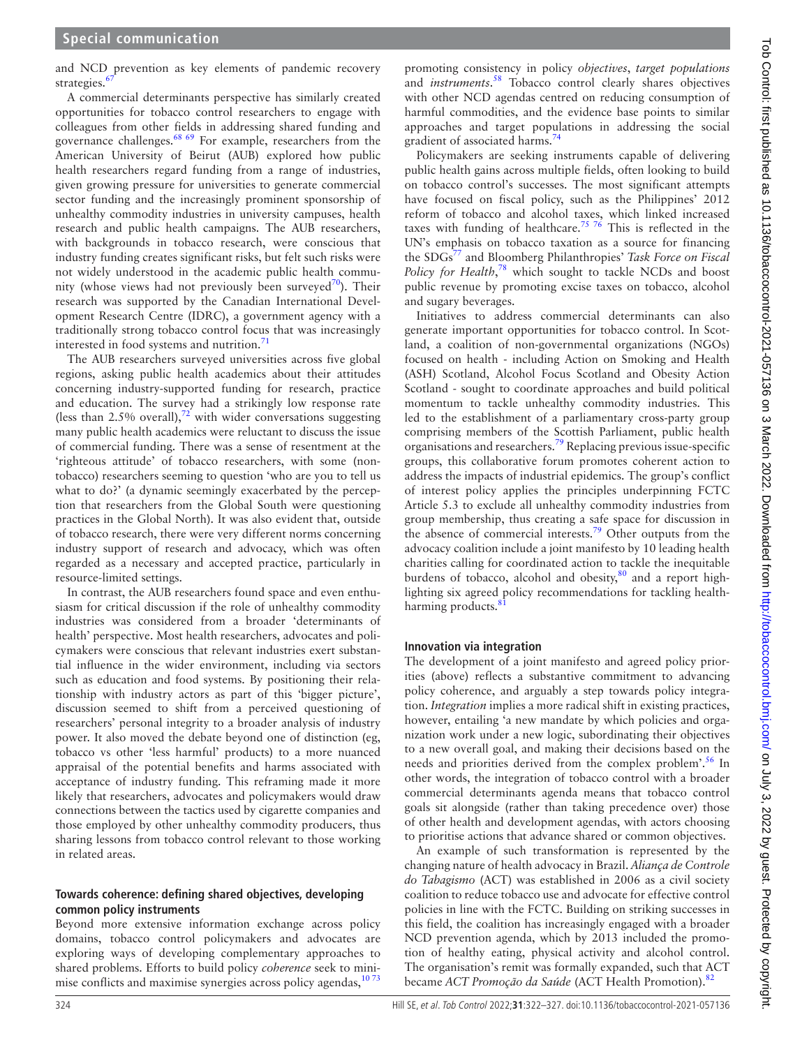and NCD prevention as key elements of pandemic recovery strategies.<sup>6</sup>

A commercial determinants perspective has similarly created opportunities for tobacco control researchers to engage with colleagues from other fields in addressing shared funding and governance challenges.[68 69](#page-5-11) For example, researchers from the American University of Beirut (AUB) explored how public health researchers regard funding from a range of industries, given growing pressure for universities to generate commercial sector funding and the increasingly prominent sponsorship of unhealthy commodity industries in university campuses, health research and public health campaigns. The AUB researchers, with backgrounds in tobacco research, were conscious that industry funding creates significant risks, but felt such risks were not widely understood in the academic public health community (whose views had not previously been surveyed<sup>70</sup>). Their research was supported by the Canadian International Development Research Centre (IDRC), a government agency with a traditionally strong tobacco control focus that was increasingly interested in food systems and nutrition.<sup>[71](#page-5-13)</sup>

The AUB researchers surveyed universities across five global regions, asking public health academics about their attitudes concerning industry-supported funding for research, practice and education. The survey had a strikingly low response rate (less than 2.5% overall),  $\frac{72}{2}$  $\frac{72}{2}$  $\frac{72}{2}$  with wider conversations suggesting many public health academics were reluctant to discuss the issue of commercial funding. There was a sense of resentment at the 'righteous attitude' of tobacco researchers, with some (nontobacco) researchers seeming to question 'who are you to tell us what to do?' (a dynamic seemingly exacerbated by the perception that researchers from the Global South were questioning practices in the Global North). It was also evident that, outside of tobacco research, there were very different norms concerning industry support of research and advocacy, which was often regarded as a necessary and accepted practice, particularly in resource-limited settings.

In contrast, the AUB researchers found space and even enthusiasm for critical discussion if the role of unhealthy commodity industries was considered from a broader 'determinants of health' perspective. Most health researchers, advocates and policymakers were conscious that relevant industries exert substantial influence in the wider environment, including via sectors such as education and food systems. By positioning their relationship with industry actors as part of this 'bigger picture', discussion seemed to shift from a perceived questioning of researchers' personal integrity to a broader analysis of industry power. It also moved the debate beyond one of distinction (eg, tobacco vs other 'less harmful' products) to a more nuanced appraisal of the potential benefits and harms associated with acceptance of industry funding. This reframing made it more likely that researchers, advocates and policymakers would draw connections between the tactics used by cigarette companies and those employed by other unhealthy commodity producers, thus sharing lessons from tobacco control relevant to those working in related areas.

#### **Towards coherence: defining shared objectives, developing common policy instruments**

Beyond more extensive information exchange across policy domains, tobacco control policymakers and advocates are exploring ways of developing complementary approaches to shared problems. Efforts to build policy *coherence* seek to minimise conflicts and maximise synergies across policy agendas,<sup>1073</sup>

promoting consistency in policy *objectives*, *target populations* and *instruments*. [58](#page-5-4) Tobacco control clearly shares objectives with other NCD agendas centred on reducing consumption of harmful commodities, and the evidence base points to similar approaches and target populations in addressing the social gradient of associated harms.<sup>[74](#page-5-15)</sup>

Policymakers are seeking instruments capable of delivering public health gains across multiple fields, often looking to build on tobacco control's successes. The most significant attempts have focused on fiscal policy, such as the Philippines' 2012 reform of tobacco and alcohol taxes, which linked increased taxes with funding of healthcare.<sup>[75 76](#page-5-16)</sup> This is reflected in the UN's emphasis on tobacco taxation as a source for financing the SDG[s77](#page-5-17) and Bloomberg Philanthropies' *Task Force on Fiscal*  Policy for Health,<sup>[78](#page-5-18)</sup> which sought to tackle NCDs and boost public revenue by promoting excise taxes on tobacco, alcohol and sugary beverages.

Initiatives to address commercial determinants can also generate important opportunities for tobacco control. In Scotland, a coalition of non-governmental organizations (NGOs) focused on health - including Action on Smoking and Health (ASH) Scotland, Alcohol Focus Scotland and Obesity Action Scotland - sought to coordinate approaches and build political momentum to tackle unhealthy commodity industries. This led to the establishment of a parliamentary cross-party group comprising members of the Scottish Parliament, public health organisations and researchers.[79](#page-5-19) Replacing previous issue-specific groups, this collaborative forum promotes coherent action to address the impacts of industrial epidemics. The group's conflict of interest policy applies the principles underpinning FCTC Article 5.3 to exclude all unhealthy commodity industries from group membership, thus creating a safe space for discussion in the absence of commercial interests.<sup>[79](#page-5-19)</sup> Other outputs from the advocacy coalition include a joint manifesto by 10 leading health charities calling for coordinated action to tackle the inequitable burdens of tobacco, alcohol and obesity, $80$  and a report highlighting six agreed policy recommendations for tackling healthharming products. $8$ 

## **Innovation via integration**

The development of a joint manifesto and agreed policy priorities (above) reflects a substantive commitment to advancing policy coherence, and arguably a step towards policy integration. *Integration* implies a more radical shift in existing practices, however, entailing 'a new mandate by which policies and organization work under a new logic, subordinating their objectives to a new overall goal, and making their decisions based on the needs and priorities derived from the complex problem'.<sup>[56](#page-5-22)</sup> In other words, the integration of tobacco control with a broader commercial determinants agenda means that tobacco control goals sit alongside (rather than taking precedence over) those of other health and development agendas, with actors choosing to prioritise actions that advance shared or common objectives.

An example of such transformation is represented by the changing nature of health advocacy in Brazil. *Aliança de Controle do Tabagismo* (ACT) was established in 2006 as a civil society coalition to reduce tobacco use and advocate for effective control policies in line with the FCTC. Building on striking successes in this field, the coalition has increasingly engaged with a broader NCD prevention agenda, which by 2013 included the promotion of healthy eating, physical activity and alcohol control. The organisation's remit was formally expanded, such that ACT became *ACT Promoção da Saúde* (ACT Health Promotion).<sup>[82](#page-5-23)</sup>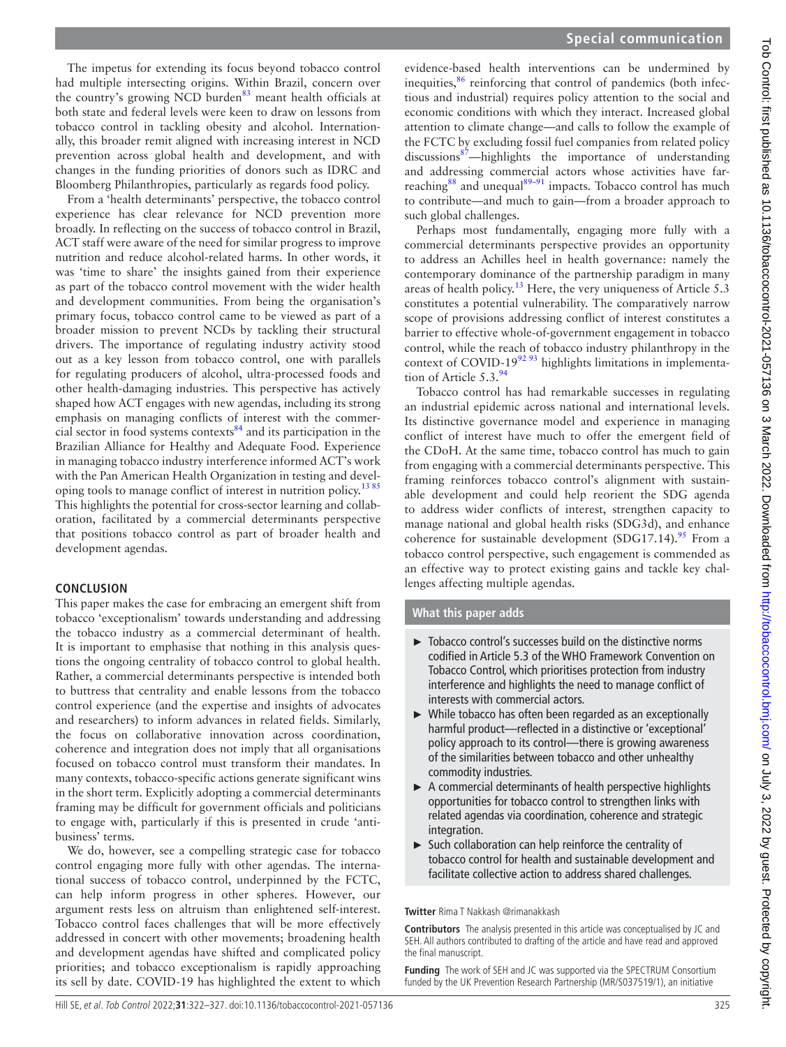**Special communication**

The impetus for extending its focus beyond tobacco control had multiple intersecting origins. Within Brazil, concern over the country's growing NCD burden<sup>[83](#page-5-24)</sup> meant health officials at both state and federal levels were keen to draw on lessons from tobacco control in tackling obesity and alcohol. Internationally, this broader remit aligned with increasing interest in NCD prevention across global health and development, and with changes in the funding priorities of donors such as IDRC and Bloomberg Philanthropies, particularly as regards food policy.

From a 'health determinants' perspective, the tobacco control experience has clear relevance for NCD prevention more broadly. In reflecting on the success of tobacco control in Brazil, ACT staff were aware of the need for similar progress to improve nutrition and reduce alcohol-related harms. In other words, it was 'time to share' the insights gained from their experience as part of the tobacco control movement with the wider health and development communities. From being the organisation's primary focus, tobacco control came to be viewed as part of a broader mission to prevent NCDs by tackling their structural drivers. The importance of regulating industry activity stood out as a key lesson from tobacco control, one with parallels for regulating producers of alcohol, ultra-processed foods and other health-damaging industries. This perspective has actively shaped how ACT engages with new agendas, including its strong emphasis on managing conflicts of interest with the commercial sector in food systems contexts $84$  and its participation in the Brazilian Alliance for Healthy and Adequate Food. Experience in managing tobacco industry interference informed ACT's work with the Pan American Health Organization in testing and developing tools to manage conflict of interest in nutrition policy.<sup>1385</sup> This highlights the potential for cross-sector learning and collaboration, facilitated by a commercial determinants perspective that positions tobacco control as part of broader health and development agendas.

#### **CONCLUSION**

This paper makes the case for embracing an emergent shift from tobacco 'exceptionalism' towards understanding and addressing the tobacco industry as a commercial determinant of health. It is important to emphasise that nothing in this analysis questions the ongoing centrality of tobacco control to global health. Rather, a commercial determinants perspective is intended both to buttress that centrality and enable lessons from the tobacco control experience (and the expertise and insights of advocates and researchers) to inform advances in related fields. Similarly, the focus on collaborative innovation across coordination, coherence and integration does not imply that all organisations focused on tobacco control must transform their mandates. In many contexts, tobacco-specific actions generate significant wins in the short term. Explicitly adopting a commercial determinants framing may be difficult for government officials and politicians to engage with, particularly if this is presented in crude 'antibusiness' terms.

We do, however, see a compelling strategic case for tobacco control engaging more fully with other agendas. The international success of tobacco control, underpinned by the FCTC, can help inform progress in other spheres. However, our argument rests less on altruism than enlightened self-interest. Tobacco control faces challenges that will be more effectively addressed in concert with other movements; broadening health and development agendas have shifted and complicated policy priorities; and tobacco exceptionalism is rapidly approaching its sell by date. COVID-19 has highlighted the extent to which

evidence-based health interventions can be undermined by inequities, $86$  reinforcing that control of pandemics (both infectious and industrial) requires policy attention to the social and economic conditions with which they interact. Increased global attention to climate change—and calls to follow the example of the FCTC by excluding fossil fuel companies from related policy discussions<sup>87</sup>—highlights the importance of understanding and addressing commercial actors whose activities have far-reaching<sup>[88](#page-5-28)</sup> and unequal $89-91$  impacts. Tobacco control has much to contribute—and much to gain—from a broader approach to such global challenges.

Perhaps most fundamentally, engaging more fully with a commercial determinants perspective provides an opportunity to address an Achilles heel in health governance: namely the contemporary dominance of the partnership paradigm in many areas of health policy.<sup>13</sup> Here, the very uniqueness of Article 5.3 constitutes a potential vulnerability. The comparatively narrow scope of provisions addressing conflict of interest constitutes a barrier to effective whole-of-government engagement in tobacco control, while the reach of tobacco industry philanthropy in the context of COVID-19 $92\frac{93}{19}$  highlights limitations in implementation of Article  $5.3<sup>9</sup>$ 

Tobacco control has had remarkable successes in regulating an industrial epidemic across national and international levels. Its distinctive governance model and experience in managing conflict of interest have much to offer the emergent field of the CDoH. At the same time, tobacco control has much to gain from engaging with a commercial determinants perspective. This framing reinforces tobacco control's alignment with sustainable development and could help reorient the SDG agenda to address wider conflicts of interest, strengthen capacity to manage national and global health risks (SDG3d), and enhance coherence for sustainable development  $(SDG17.14).$ <sup>95</sup> From a tobacco control perspective, such engagement is commended as an effective way to protect existing gains and tackle key challenges affecting multiple agendas.

#### **What this paper adds**

- ► Tobacco control's successes build on the distinctive norms codified in Article 5.3 of the WHO Framework Convention on Tobacco Control, which prioritises protection from industry interference and highlights the need to manage conflict of interests with commercial actors.
- ► While tobacco has often been regarded as an exceptionally harmful product—reflected in a distinctive or 'exceptional' policy approach to its control—there is growing awareness of the similarities between tobacco and other unhealthy commodity industries.
- ► A commercial determinants of health perspective highlights opportunities for tobacco control to strengthen links with related agendas via coordination, coherence and strategic integration.
- ► Such collaboration can help reinforce the centrality of tobacco control for health and sustainable development and facilitate collective action to address shared challenges.

#### **Twitter** Rima T Nakkash [@rimanakkash](https://twitter.com/rimanakkash)

**Contributors** The analysis presented in this article was conceptualised by JC and SEH. All authors contributed to drafting of the article and have read and approved the final manuscript.

**Funding** The work of SEH and JC was supported via the SPECTRUM Consortium funded by the UK Prevention Research Partnership (MR/S037519/1), an initiative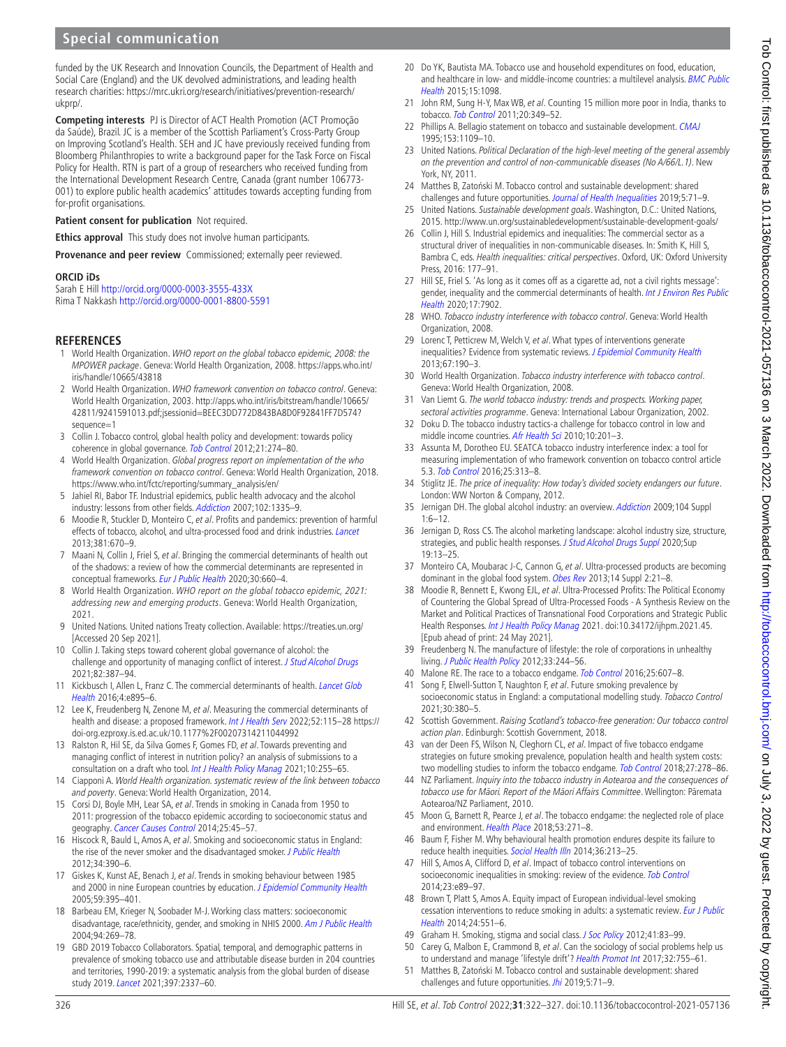# **Special communication**

funded by the UK Research and Innovation Councils, the Department of Health and Social Care (England) and the UK devolved administrations, and leading health research charities: [https://mrc.ukri.org/research/initiatives/prevention-research/](https://mrc.ukri.org/research/initiatives/prevention-research/ukprp/) [ukprp/.](https://mrc.ukri.org/research/initiatives/prevention-research/ukprp/)

**Competing interests** PJ is Director of ACT Health Promotion (ACT Promoção da Saúde), Brazil. JC is a member of the Scottish Parliament's Cross-Party Group on Improving Scotland's Health. SEH and JC have previously received funding from Bloomberg Philanthropies to write a background paper for the Task Force on Fiscal Policy for Health. RTN is part of a group of researchers who received funding from the International Development Research Centre, Canada (grant number 106773- 001) to explore public health academics' attitudes towards accepting funding from for-profit organisations.

**Patient consent for publication** Not required.

**Ethics approval** This study does not involve human participants.

**Provenance and peer review** Commissioned; externally peer reviewed.

#### **ORCID iDs**

Sarah E Hill <http://orcid.org/0000-0003-3555-433X> Rima T Nakkash <http://orcid.org/0000-0001-8800-5591>

#### **REFERENCES**

- <span id="page-4-0"></span>1 World Health Organization. WHO report on the global tobacco epidemic, 2008: the MPOWER package. Geneva: World Health Organization, 2008. [https://apps.who.int/](https://apps.who.int/iris/handle/10665/43818) [iris/handle/10665/43818](https://apps.who.int/iris/handle/10665/43818)
- <span id="page-4-1"></span>2 World Health Organization. WHO framework convention on tobacco control. Geneva: World Health Organization, 2003. [http://apps.who.int/iris/bitstream/handle/10665/](http://apps.who.int/iris/bitstream/handle/10665/42811/9241591013.pdf;jsessionid=BEEC3DD772D843BA8D0F92841FF7D574?sequence=1) [42811/9241591013.pdf;jsessionid=BEEC3DD772D843BA8D0F92841FF7D574?](http://apps.who.int/iris/bitstream/handle/10665/42811/9241591013.pdf;jsessionid=BEEC3DD772D843BA8D0F92841FF7D574?sequence=1) [sequence=1](http://apps.who.int/iris/bitstream/handle/10665/42811/9241591013.pdf;jsessionid=BEEC3DD772D843BA8D0F92841FF7D574?sequence=1)
- <span id="page-4-2"></span>3 Collin J. Tobacco control, global health policy and development: towards policy coherence in global governance. [Tob Control](http://dx.doi.org/10.1136/tobaccocontrol-2011-050418) 2012;21:274–80.
- <span id="page-4-3"></span>4 World Health Organization. Global progress report on implementation of the who framework convention on tobacco control. Geneva: World Health Organization, 2018. [https://www.who.int/fctc/reporting/summary\\_analysis/en/](https://www.who.int/fctc/reporting/summary_analysis/en/)
- <span id="page-4-4"></span>5 Jahiel RI, Babor TF. Industrial epidemics, public health advocacy and the alcohol industry: lessons from other fields. [Addiction](http://dx.doi.org/10.1111/j.1360-0443.2007.01900.x) 2007;102:1335-9.
- <span id="page-4-5"></span>6 Moodie R, Stuckler D, Monteiro C, et al. Profits and pandemics: prevention of harmful effects of tobacco, alcohol, and ultra-processed food and drink industries. [Lancet](http://dx.doi.org/10.1016/S0140-6736(12)62089-3) 2013;381:670–9.
- <span id="page-4-8"></span>7 Maani N, Collin J, Friel S, et al. Bringing the commercial determinants of health out of the shadows: a review of how the commercial determinants are represented in conceptual frameworks. [Eur J Public Health](http://dx.doi.org/10.1093/eurpub/ckz197) 2020;30:660-4.
- <span id="page-4-6"></span>8 World Health Organization. WHO report on the global tobacco epidemic, 2021: addressing new and emerging products. Geneva: World Health Organization, 2021.
- <span id="page-4-7"></span>9 United Nations. United nations Treaty collection. Available: <https://treaties.un.org/> [Accessed 20 Sep 2021].
- <span id="page-4-32"></span>10 Collin J. Taking steps toward coherent global governance of alcohol: the challenge and opportunity of managing conflict of interest. [J Stud Alcohol Drugs](http://www.ncbi.nlm.nih.gov/pubmed/34100707) 2021;82:387–94.
- 11 Kickbusch I, Allen L, Franz C. The commercial determinants of health. Lancet Glob [Health](http://dx.doi.org/10.1016/S2214-109X(16)30217-0) 2016;4:e895–6.
- <span id="page-4-20"></span>12 Lee K, Freudenberg N, Zenone M, et al. Measuring the commercial determinants of health and disease: a proposed framework. [Int J Health Serv](http://dx.doi.org/10.1177/00207314211044992) 2022;52:115-28 [https://](https://doi-org.ezproxy.is.ed.ac.uk/10.1177%2F00207314211044992) [doi-org.ezproxy.is.ed.ac.uk/10.1177%2F00207314211044992](https://doi-org.ezproxy.is.ed.ac.uk/10.1177%2F00207314211044992)
- <span id="page-4-9"></span>13 Ralston R, Hil SE, da Silva Gomes F, Gomes FD, et al. Towards preventing and managing conflict of interest in nutrition policy? an analysis of submissions to a consultation on a draft who tool. [Int J Health Policy Manag](http://dx.doi.org/10.34172/ijhpm.2020.52) 2021;10:255-65.
- <span id="page-4-10"></span>14 Ciapponi A. World Health organization. systematic review of the link between tobacco and poverty. Geneva: World Health Organization, 2014.
- 15 Corsi DJ, Boyle MH, Lear SA, et al. Trends in smoking in Canada from 1950 to 2011: progression of the tobacco epidemic according to socioeconomic status and geography. [Cancer Causes Control](http://dx.doi.org/10.1007/s10552-013-0307-9) 2014;25:45-57.
- 16 Hiscock R, Bauld L, Amos A, et al. Smoking and socioeconomic status in England: the rise of the never smoker and the disadvantaged smoker. [J Public Health](http://dx.doi.org/10.1093/pubmed/fds012) 2012;34:390–6.
- 17 Giskes K, Kunst AE, Benach J, et al. Trends in smoking behaviour between 1985 and 2000 in nine European countries by education. [J Epidemiol Community Health](http://dx.doi.org/10.1136/jech.2004.025684) 2005;59:395–401.
- <span id="page-4-15"></span>18 Barbeau EM, Krieger N, Soobader M-J. Working class matters: socioeconomic disadvantage, race/ethnicity, gender, and smoking in NHIS 2000. [Am J Public Health](http://dx.doi.org/10.2105/ajph.94.2.269) 2004;94:269–78.
- <span id="page-4-11"></span>19 GBD 2019 Tobacco Collaborators. Spatial, temporal, and demographic patterns in prevalence of smoking tobacco use and attributable disease burden in 204 countries and territories, 1990-2019: a systematic analysis from the global burden of disease study 2019. [Lancet](http://dx.doi.org/10.1016/S0140-6736(21)01169-7) 2021;397:2337–60.
- <span id="page-4-12"></span>20 Do YK, Bautista MA. Tobacco use and household expenditures on food, education, and healthcare in low- and middle-income countries: a multilevel analysis. [BMC Public](http://dx.doi.org/10.1186/s12889-015-2423-9) [Health](http://dx.doi.org/10.1186/s12889-015-2423-9) 2015;15:1098.
- 21 John RM, Sung H-Y, Max WB, et al. Counting 15 million more poor in India, thanks to tobacco. [Tob Control](http://dx.doi.org/10.1136/tc.2010.040089) 2011;20:349–52.
- <span id="page-4-13"></span>22 Phillips A. Bellagio statement on tobacco and sustainable development. [CMAJ](http://www.ncbi.nlm.nih.gov/pubmed/7553518) 1995;153:1109–10.
- 23 United Nations. Political Declaration of the high-level meeting of the general assembly on the prevention and control of non-communicable diseases (No A/66/L.1). New York, NY, 2011.
- 24 Matthes B, Zatoński M. Tobacco control and sustainable development: shared challenges and future opportunities. [Journal of Health Inequalities](http://dx.doi.org/10.5114/jhi.2019.87840) 2019;5:71-9.
- <span id="page-4-14"></span>25 United Nations. Sustainable development goals. Washington, D.C.: United Nations, 2015.<http://www.un.org/sustainabledevelopment/sustainable-development-goals/>
- <span id="page-4-18"></span>26 Collin J, Hill S. Industrial epidemics and inequalities: The commercial sector as a structural driver of inequalities in non-communicable diseases. In: Smith K, Hill S, Bambra C, eds. Health inequalities: critical perspectives. Oxford, UK: Oxford University Press, 2016: 177–91.
- <span id="page-4-21"></span>27 Hill SE, Friel S. 'As long as it comes off as a cigarette ad, not a civil rights message': gender, inequality and the commercial determinants of health. Int J Environ Res Public [Health](http://dx.doi.org/10.3390/ijerph17217902) 2020;17:7902.
- <span id="page-4-16"></span>28 WHO. Tobacco industry interference with tobacco control. Geneva: World Health Organization, 2008.
- <span id="page-4-17"></span>29 Lorenc T, Petticrew M, Welch V, et al. What types of interventions generate inequalities? Evidence from systematic reviews. [J Epidemiol Community Health](http://dx.doi.org/10.1136/jech-2012-201257) 2013;67:190–3.
- 30 World Health Organization. Tobacco industry interference with tobacco control. Geneva: World Health Organization, 2008.
- <span id="page-4-19"></span>31 Van Liemt G. The world tobacco industry: trends and prospects. Working paper, sectoral activities programme. Geneva: International Labour Organization, 2002.
- 32 Doku D. The tobacco industry tactics-a challenge for tobacco control in low and middle income countries. [Afr Health Sci](http://www.ncbi.nlm.nih.gov/pubmed/21326977) 2010;10:201-3.
- 33 Assunta M, Dorotheo EU. SEATCA tobacco industry interference index: a tool for measuring implementation of who framework convention on tobacco control article 5.3. [Tob Control](http://dx.doi.org/10.1136/tobaccocontrol-2014-051934) 2016;25:313–8.
- <span id="page-4-23"></span>34 Stiglitz JE. The price of inequality: How today's divided society endangers our future. London: WW Norton & Company, 2012.
- <span id="page-4-22"></span>35 Jernigan DH. The global alcohol industry: an overview. [Addiction](http://dx.doi.org/10.1111/j.1360-0443.2008.02430.x) 2009;104 Suppl 1:6–12.
- 36 Jernigan D, Ross CS. The alcohol marketing landscape: alcohol industry size, structure, strategies, and public health responses. [J Stud Alcohol Drugs Suppl](http://dx.doi.org/10.15288/jsads.2020.s19.13) 2020;Sup 19:13–25.
- 37 Monteiro CA, Moubarac J-C, Cannon G, et al. Ultra-processed products are becoming dominant in the global food system. [Obes Rev](http://dx.doi.org/10.1111/obr.12107) 2013;14 Suppl 2:21-8.
- 38 Moodie R, Bennett E, Kwong EJL, et al. Ultra-Processed Profits: The Political Economy of Countering the Global Spread of Ultra-Processed Foods - A Synthesis Review on the Market and Political Practices of Transnational Food Corporations and Strategic Public Health Responses. [Int J Health Policy Manag](http://dx.doi.org/10.34172/ijhpm.2021.45) 2021. doi:10.34172/ijhpm.2021.45. [Epub ahead of print: 24 May 2021].
- 39 Freudenberg N. The manufacture of lifestyle: the role of corporations in unhealthy living. [J Public Health Policy](http://dx.doi.org/10.1057/jphp.2011.60) 2012;33:244-56.
- <span id="page-4-24"></span>40 Malone RE. The race to a tobacco endgame. [Tob Control](http://dx.doi.org/10.1136/tobaccocontrol-2016-053466) 2016;25:607-8.
- <span id="page-4-25"></span>41 Song F, Elwell-Sutton T, Naughton F, et al. Future smoking prevalence by socioeconomic status in England: a computational modelling study. Tobacco Control 2021;30:380–5.
- 42 Scottish Government. Raising Scotland's tobacco-free generation: Our tobacco control action plan. Edinburgh: Scottish Government, 2018.
- 43 van der Deen FS, Wilson N, Cleghorn CL, et al. Impact of five tobacco endgame strategies on future smoking prevalence, population health and health system costs: two modelling studies to inform the tobacco endgame. [Tob Control](http://dx.doi.org/10.1136/tobaccocontrol-2016-053585) 2018;27:278–86.
- 44 NZ Parliament. Inquiry into the tobacco industry in Aotearoa and the consequences of tobacco use for Māori. Report of the Māori Affairs Committee. Wellington: Pāremata Aotearoa/NZ Parliament, 2010.
- <span id="page-4-26"></span>45 Moon G, Barnett R, Pearce J, et al. The tobacco endgame: the neglected role of place and environment. [Health Place](http://dx.doi.org/10.1016/j.healthplace.2018.06.012) 2018:53:271-8.
- <span id="page-4-27"></span>46 Baum F, Fisher M. Why behavioural health promotion endures despite its failure to reduce health inequities. [Sociol Health Illn](http://dx.doi.org/10.1111/1467-9566.12112) 2014;36:213–25.
- <span id="page-4-28"></span>47 Hill S, Amos A, Clifford D, et al. Impact of tobacco control interventions on socioeconomic inequalities in smoking: review of the evidence. [Tob Control](http://dx.doi.org/10.1136/tobaccocontrol-2013-051110) 2014;23:e89–97.
- 48 Brown T, Platt S, Amos A. Equity impact of European individual-level smoking cessation interventions to reduce smoking in adults: a systematic review. [Eur J Public](http://dx.doi.org/10.1093/eurpub/cku065)  [Health](http://dx.doi.org/10.1093/eurpub/cku065) 2014;24:551–6.
- <span id="page-4-29"></span>49 Graham H. Smoking, stigma and social class. [J Soc Policy](http://dx.doi.org/10.1017/S004727941100033X) 2012;41:83-99.
- <span id="page-4-30"></span>50 Carey G, Malbon E, Crammond B, et al. Can the sociology of social problems help us to understand and manage 'lifestyle drift'? [Health Promot Int](http://dx.doi.org/10.1093/heapro/dav116) 2017;32:755-61.
- <span id="page-4-31"></span>51 Matthes B, Zatoński M. Tobacco control and sustainable development: shared challenges and future opportunities. *[Jhi](http://dx.doi.org/10.5114/jhi.2019.87840)* 2019;5:71-9.